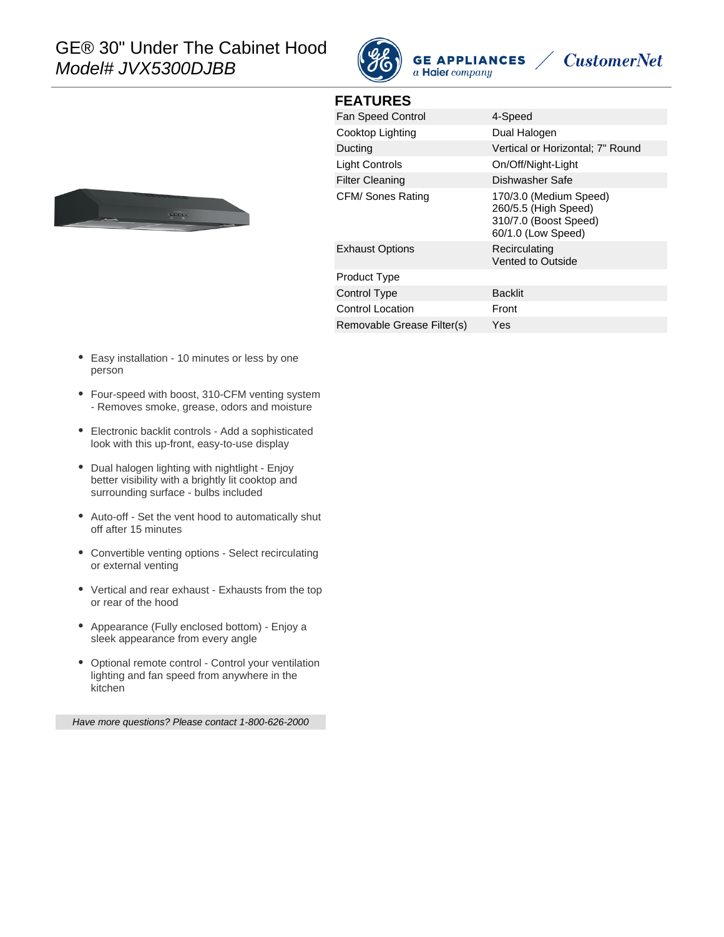

**FEATURES**







| <b>Fan Speed Control</b>   | 4-Speed                                                                                       |
|----------------------------|-----------------------------------------------------------------------------------------------|
| Cooktop Lighting           | Dual Halogen                                                                                  |
| Ducting                    | Vertical or Horizontal; 7" Round                                                              |
| Light Controls             | On/Off/Night-Light                                                                            |
| <b>Filter Cleaning</b>     | Dishwasher Safe                                                                               |
| CFM/ Sones Rating          | 170/3.0 (Medium Speed)<br>260/5.5 (High Speed)<br>310/7.0 (Boost Speed)<br>60/1.0 (Low Speed) |
| <b>Exhaust Options</b>     | Recirculating<br>Vented to Outside                                                            |
| Product Type               |                                                                                               |
| Control Type               | <b>Backlit</b>                                                                                |
| <b>Control Location</b>    | Front                                                                                         |
| Removable Grease Filter(s) | Yes                                                                                           |
|                            |                                                                                               |

- Easy installation 10 minutes or less by one person
- Four-speed with boost, 310-CFM venting system - Removes smoke, grease, odors and moisture
- Electronic backlit controls Add a sophisticated look with this up-front, easy-to-use display
- Dual halogen lighting with nightlight Enjoy better visibility with a brightly lit cooktop and surrounding surface - bulbs included
- Auto-off Set the vent hood to automatically shut off after 15 minutes
- Convertible venting options Select recirculating or external venting
- Vertical and rear exhaust Exhausts from the top or rear of the hood
- Appearance (Fully enclosed bottom) Enjoy a sleek appearance from every angle
- Optional remote control Control your ventilation lighting and fan speed from anywhere in the kitchen

Have more questions? Please contact 1-800-626-2000